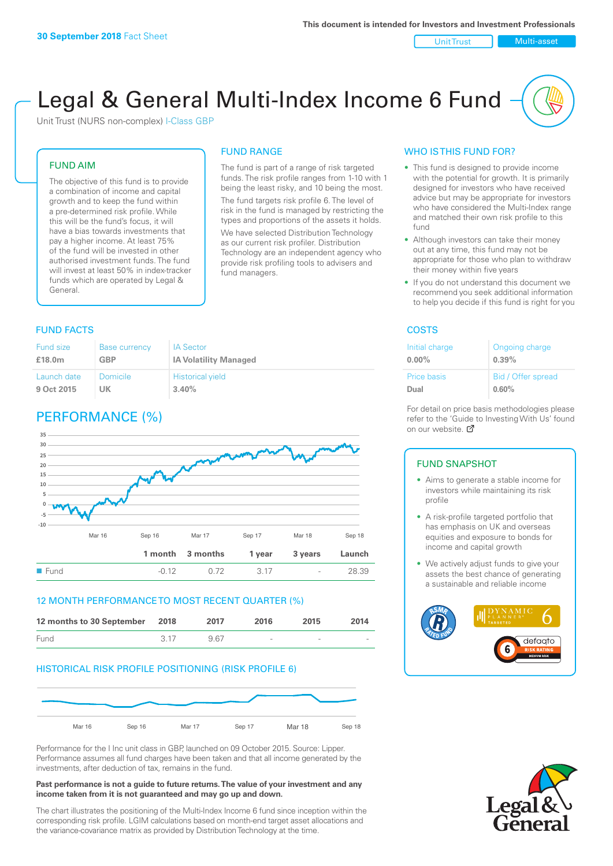Unit Trust Nulti-asset

# Legal & General Multi-Index Income 6 Fund

Unit Trust (NURS non-complex) I-Class GBP

#### FUND AIM

The objective of this fund is to provide a combination of income and capital growth and to keep the fund within a pre-determined risk profile. While this will be the fund's focus, it will have a bias towards investments that pay a higher income. At least 75% of the fund will be invested in other authorised investment funds. The fund will invest at least 50% in index-tracker funds which are operated by Legal & General.

### The fund is part of a range of risk targeted

FUND RANGE

funds. The risk profile ranges from 1-10 with 1 being the least risky, and 10 being the most. The fund targets risk profile 6. The level of risk in the fund is managed by restricting the

types and proportions of the assets it holds. We have selected Distribution Technology as our current risk profiler. Distribution Technology are an independent agency who provide risk profiling tools to advisers and fund managers.

#### **FUND FACTS** COSTS

| Fund size   | <b>Base currency</b> | <b>IA Sector</b>             |
|-------------|----------------------|------------------------------|
| £18.0m      | GBP                  | <b>IA Volatility Managed</b> |
| Launch date | Domicile             | <b>Historical yield</b>      |
| 9 Oct 2015  | UK                   | 3.40%                        |

### PERFORMANCE (%)



#### 12 MONTH PERFORMANCE TO MOST RECENT QUARTER (%)

| 12 months to 30 September 2018 |      | 2017 | 2016   | 2015   | 2014   |
|--------------------------------|------|------|--------|--------|--------|
| Fund                           | 3.17 | 967  | $\sim$ | $\sim$ | $\sim$ |

#### HISTORICAL RISK PROFILE POSITIONING (RISK PROFILE 6)



Performance for the I Inc unit class in GBP, launched on 09 October 2015. Source: Lipper. Performance assumes all fund charges have been taken and that all income generated by the investments, after deduction of tax, remains in the fund.

#### **Past performance is not a guide to future returns. The value of your investment and any income taken from it is not guaranteed and may go up and down.**

The chart illustrates the positioning of the Multi-Index Income 6 fund since inception within the corresponding risk profile. LGIM calculations based on month-end target asset allocations and the variance-covariance matrix as provided by Distribution Technology at the time.

#### WHO IS THIS FUND FOR?

- This fund is designed to provide income with the potential for growth. It is primarily designed for investors who have received advice but may be appropriate for investors who have considered the Multi-Index range and matched their own risk profile to this fund
- Although investors can take their money out at any time, this fund may not be appropriate for those who plan to withdraw their money within five years
- If you do not understand this document we recommend you seek additional information to help you decide if this fund is right for you

| Initial charge | Ongoing charge     |
|----------------|--------------------|
| $0.00\%$       | 0.39%              |
| Price basis    | Bid / Offer spread |
| Dual           | 0.60%              |

For detail on price basis methodologies please refer to the 'Guide to Investing With Us' found on our website. Ø

#### FUND SNAPSHOT

- Aims to generate a stable income for investors while maintaining its risk profile
- A risk-profile targeted portfolio that has emphasis on UK and overseas equities and exposure to bonds for income and capital growth
- We actively adjust funds to give your assets the best chance of generating a sustainable and reliable income



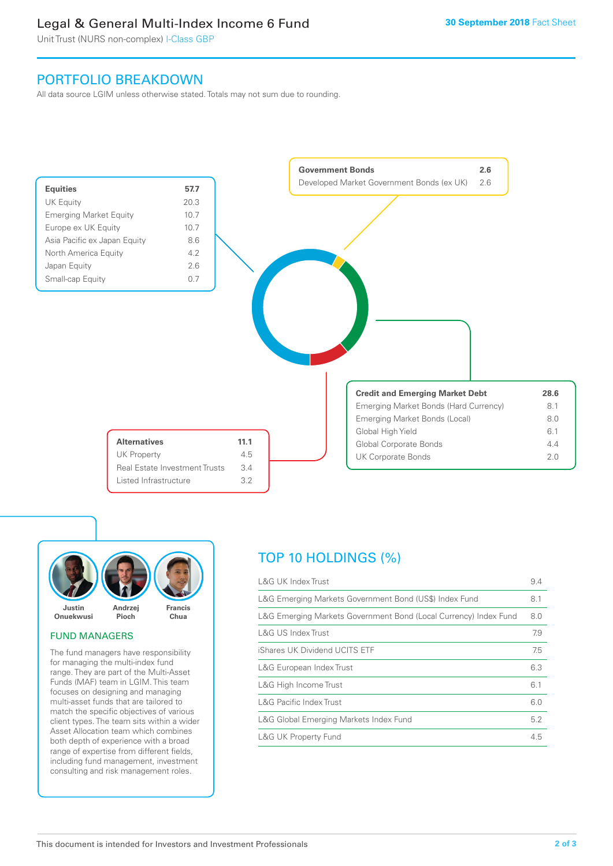### Legal & General Multi-Index Income 6 Fund

Unit Trust (NURS non-complex) I-Class GBP

### PORTFOLIO BREAKDOWN

All data source LGIM unless otherwise stated. Totals may not sum due to rounding.





#### FUND MANAGERS

The fund managers have responsibility for managing the multi-index fund range. They are part of the Multi-Asset Funds (MAF) team in LGIM. This team focuses on designing and managing multi-asset funds that are tailored to match the specific objectives of various client types. The team sits within a wider Asset Allocation team which combines both depth of experience with a broad range of expertise from different fields, including fund management, investment consulting and risk management roles.

## TOP 10 HOLDINGS (%)

| <b>L&amp;G UK Index Trust</b>                                    | 9.4 |
|------------------------------------------------------------------|-----|
| L&G Emerging Markets Government Bond (US\$) Index Fund           | 8.1 |
| L&G Emerging Markets Government Bond (Local Currency) Index Fund | 8.0 |
| L&G US Index Trust                                               | 7.9 |
| iShares UK Dividend UCITS ETF                                    | 7.5 |
| L&G European Index Trust                                         | 6.3 |
| L&G High Income Trust                                            | 6.1 |
| <b>L&amp;G Pacific Index Trust</b>                               | 6.0 |
| L&G Global Emerging Markets Index Fund                           | 5.2 |
| <b>L&amp;G UK Property Fund</b>                                  | 4.5 |